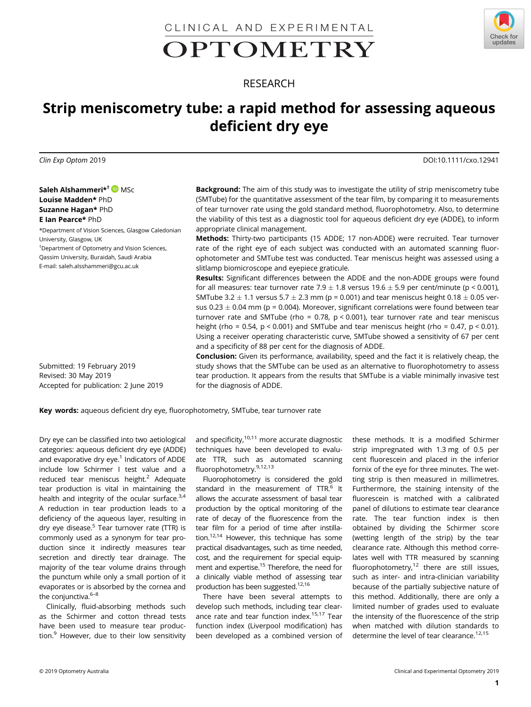CLINICAL AND EXPERIMENTAL

# OPTOMETRY



## RESEARCH

# Strip meniscometry tube: a rapid method for assessing aqueous deficient dry eye

Clin Exp Optom 2019 DOI:10.1111/cxo.12941

Saleh Alshammeri\*<sup>†</sup> DMSc Louise Madden\* PhD Suzanne Hagan\* PhD E Ian Pearce\* PhD

\*Department of Vision Sciences, Glasgow Caledonian University, Glasgow, UK † Department of Optometry and Vision Sciences, Qassim University, Buraidah, Saudi Arabia E-mail: [saleh.alsshammeri@gcu.ac.uk](mailto:saleh.alsshammeri@gcu.ac.uk)

**Background:** The aim of this study was to investigate the utility of strip meniscometry tube (SMTube) for the quantitative assessment of the tear film, by comparing it to measurements of tear turnover rate using the gold standard method, fluorophotometry. Also, to determine the viability of this test as a diagnostic tool for aqueous deficient dry eye (ADDE), to inform appropriate clinical management.

Methods: Thirty-two participants (15 ADDE; 17 non-ADDE) were recruited. Tear turnover rate of the right eye of each subject was conducted with an automated scanning fluorophotometer and SMTube test was conducted. Tear meniscus height was assessed using a slitlamp biomicroscope and eyepiece graticule.

Results: Significant differences between the ADDE and the non-ADDE groups were found for all measures: tear turnover rate 7.9  $\pm$  1.8 versus 19.6  $\pm$  5.9 per cent/minute (p < 0.001). SMTube 3.2  $\pm$  1.1 versus 5.7  $\pm$  2.3 mm (p = 0.001) and tear meniscus height 0.18  $\pm$  0.05 versus  $0.23 \pm 0.04$  mm (p = 0.004). Moreover, significant correlations were found between tear turnover rate and SMTube (rho =  $0.78$ , p <  $0.001$ ), tear turnover rate and tear meniscus height (rho = 0.54,  $p < 0.001$ ) and SMTube and tear meniscus height (rho = 0.47,  $p < 0.01$ ). Using a receiver operating characteristic curve, SMTube showed a sensitivity of 67 per cent and a specificity of 88 per cent for the diagnosis of ADDE.

Submitted: 19 February 2019 Revised: 30 May 2019 Accepted for publication: 2 June 2019

Conclusion: Given its performance, availability, speed and the fact it is relatively cheap, the study shows that the SMTube can be used as an alternative to fluorophotometry to assess tear production. It appears from the results that SMTube is a viable minimally invasive test for the diagnosis of ADDE.

Key words: aqueous deficient dry eye, fluorophotometry, SMTube, tear turnover rate

Dry eye can be classified into two aetiological categories: aqueous deficient dry eye (ADDE) and evaporative dry eye.<sup>1</sup> Indicators of ADDE include low Schirmer I test value and a reduced tear meniscus height.<sup>2</sup> Adequate tear production is vital in maintaining the health and integrity of the ocular surface.<sup>3,4</sup> A reduction in tear production leads to a deficiency of the aqueous layer, resulting in dry eye disease.<sup>5</sup> Tear turnover rate (TTR) is commonly used as a synonym for tear production since it indirectly measures tear secretion and directly tear drainage. The majority of the tear volume drains through the punctum while only a small portion of it evaporates or is absorbed by the cornea and the conjunctiva.<sup>6-8</sup>

Clinically, fluid-absorbing methods such as the Schirmer and cotton thread tests have been used to measure tear production.<sup>9</sup> However, due to their low sensitivity and specificity, $10,111$  more accurate diagnostic techniques have been developed to evaluate TTR, such as automated scanning fluorophotometry.9,12,13

Fluorophotometry is considered the gold standard in the measurement of  $TTR<sup>6</sup>$  It allows the accurate assessment of basal tear production by the optical monitoring of the rate of decay of the fluorescence from the tear film for a period of time after instillation. $12,14$  However, this technique has some practical disadvantages, such as time needed, cost, and the requirement for special equipment and expertise.<sup>15</sup> Therefore, the need for a clinically viable method of assessing tear production has been suggested.12,16

There have been several attempts to develop such methods, including tear clearance rate and tear function index.<sup>15,17</sup> Tear function index (Liverpool modification) has been developed as a combined version of these methods. It is a modified Schirmer strip impregnated with 1.3 mg of 0.5 per cent fluorescein and placed in the inferior fornix of the eye for three minutes. The wetting strip is then measured in millimetres. Furthermore, the staining intensity of the fluorescein is matched with a calibrated panel of dilutions to estimate tear clearance rate. The tear function index is then obtained by dividing the Schirmer score (wetting length of the strip) by the tear clearance rate. Although this method correlates well with TTR measured by scanning fluorophotometry, $12$  there are still issues, such as inter- and intra-clinician variability because of the partially subjective nature of this method. Additionally, there are only a limited number of grades used to evaluate the intensity of the fluorescence of the strip when matched with dilution standards to determine the level of tear clearance.<sup>12,15</sup>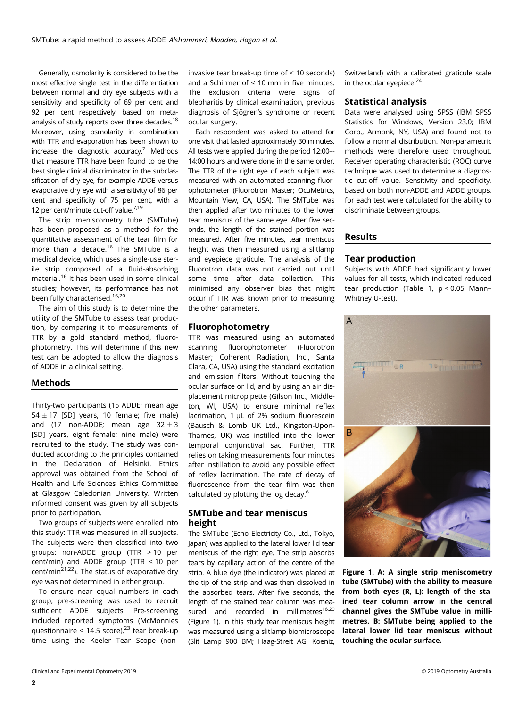Generally, osmolarity is considered to be the most effective single test in the differentiation between normal and dry eye subjects with a sensitivity and specificity of 69 per cent and 92 per cent respectively, based on metaanalysis of study reports over three decades.<sup>18</sup> Moreover, using osmolarity in combination with TTR and evaporation has been shown to increase the diagnostic accuracy. $7$  Methods that measure TTR have been found to be the best single clinical discriminator in the subclassification of dry eye, for example ADDE versus evaporative dry eye with a sensitivity of 86 per cent and specificity of 75 per cent, with a 12 per cent/minute cut-off value.<sup>7,19</sup>

The strip meniscometry tube (SMTube) has been proposed as a method for the quantitative assessment of the tear film for more than a decade.<sup>16</sup> The SMTube is a medical device, which uses a single-use sterile strip composed of a fluid-absorbing material.16 It has been used in some clinical studies; however, its performance has not been fully characterised.<sup>16,20</sup>

The aim of this study is to determine the utility of the SMTube to assess tear production, by comparing it to measurements of TTR by a gold standard method, fluorophotometry. This will determine if this new test can be adopted to allow the diagnosis of ADDE in a clinical setting.

#### Methods

Thirty-two participants (15 ADDE; mean age  $54 \pm 17$  [SD] years, 10 female; five male) and (17 non-ADDE; mean age  $32 \pm 3$ [SD] years, eight female; nine male) were recruited to the study. The study was conducted according to the principles contained in the Declaration of Helsinki. Ethics approval was obtained from the School of Health and Life Sciences Ethics Committee at Glasgow Caledonian University. Written informed consent was given by all subjects prior to participation.

Two groups of subjects were enrolled into this study: TTR was measured in all subjects. The subjects were then classified into two groups: non-ADDE group (TTR > 10 per cent/min) and ADDE group (TTR ≤ 10 per cent/min<sup>21,22</sup>). The status of evaporative dry eye was not determined in either group.

To ensure near equal numbers in each group, pre-screening was used to recruit sufficient ADDE subjects. Pre-screening included reported symptoms (McMonnies questionnaire < 14.5 score),<sup>23</sup> tear break-up time using the Keeler Tear Scope (noninvasive tear break-up time of < 10 seconds) and a Schirmer of  $\leq 10$  mm in five minutes. The exclusion criteria were signs of blepharitis by clinical examination, previous diagnosis of Sjögren's syndrome or recent ocular surgery.

Each respondent was asked to attend for one visit that lasted approximately 30 minutes. All tests were applied during the period 12:00–- 14:00 hours and were done in the same order. The TTR of the right eye of each subject was measured with an automated scanning fluorophotometer (Fluorotron Master; OcuMetrics, Mountain View, CA, USA). The SMTube was then applied after two minutes to the lower tear meniscus of the same eye. After five seconds, the length of the stained portion was measured. After five minutes, tear meniscus height was then measured using a slitlamp and eyepiece graticule. The analysis of the Fluorotron data was not carried out until some time after data collection. This minimised any observer bias that might occur if TTR was known prior to measuring the other parameters.

#### Fluorophotometry

TTR was measured using an automated scanning fluorophotometer (Fluorotron Master; Coherent Radiation, Inc., Santa Clara, CA, USA) using the standard excitation and emission filters. Without touching the ocular surface or lid, and by using an air displacement micropipette (Gilson Inc., Middleton, WI, USA) to ensure minimal reflex lacrimation, 1 μL of 2% sodium fluorescein (Bausch & Lomb UK Ltd., Kingston-Upon-Thames, UK) was instilled into the lower temporal conjunctival sac. Further, TTR relies on taking measurements four minutes after instillation to avoid any possible effect of reflex lacrimation. The rate of decay of fluorescence from the tear film was then calculated by plotting the log decay.6

#### SMTube and tear meniscus height

The SMTube (Echo Electricity Co., Ltd., Tokyo, Japan) was applied to the lateral lower lid tear meniscus of the right eye. The strip absorbs tears by capillary action of the centre of the strip. A blue dye (the indicator) was placed at the tip of the strip and was then dissolved in the absorbed tears. After five seconds, the length of the stained tear column was measured and recorded in millimetres $16,20$ (Figure 1). In this study tear meniscus height was measured using a slitlamp biomicroscope (Slit Lamp 900 BM; Haag-Streit AG, Koeniz,

Switzerland) with a calibrated graticule scale in the ocular evepiece. $24$ 

#### Statistical analysis

Data were analysed using SPSS (IBM SPSS Statistics for Windows, Version 23.0; IBM Corp., Armonk, NY, USA) and found not to follow a normal distribution. Non-parametric methods were therefore used throughout. Receiver operating characteristic (ROC) curve technique was used to determine a diagnostic cut-off value. Sensitivity and specificity, based on both non-ADDE and ADDE groups, for each test were calculated for the ability to discriminate between groups.

#### Results

#### Tear production

Subjects with ADDE had significantly lower values for all tests, which indicated reduced tear production (Table 1,  $p < 0.05$  Mann-Whitney U-test).



Figure 1. A: A single strip meniscometry tube (SMTube) with the ability to measure from both eyes (R, L): length of the stained tear column arrow in the central channel gives the SMTube value in millimetres. B: SMTube being applied to the lateral lower lid tear meniscus without touching the ocular surface.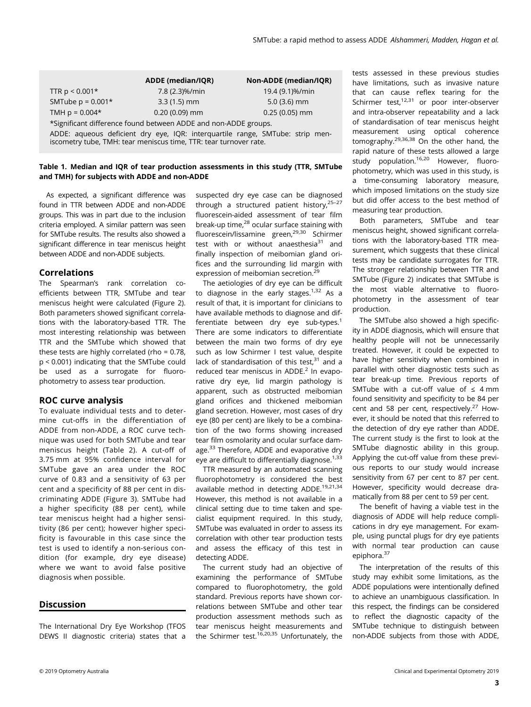|                                                                                       | <b>ADDE</b> (median/IQR) | Non-ADDE (median/IQR) |  |  |  |
|---------------------------------------------------------------------------------------|--------------------------|-----------------------|--|--|--|
| TTR $p < 0.001*$                                                                      | 7.8 (2.3)%/min           | 19.4 (9.1)%/min       |  |  |  |
| SMTube $p = 0.001*$                                                                   | $3.3(1.5)$ mm            | $5.0(3.6)$ mm         |  |  |  |
| TMH $p = 0.004*$                                                                      | $0.20(0.09)$ mm          | $0.25(0.05)$ mm       |  |  |  |
| *Significant difference found between ADDE and non-ADDE groups.                       |                          |                       |  |  |  |
| ADDE: concerns deficient duri and IOD: internationalistic organization et design acco |                          |                       |  |  |  |

ADDE: aqueous deficient dry eye, IQR: interquartile range, SMTube: strip meniscometry tube, TMH: tear meniscus time, TTR: tear turnover rate.

#### Table 1. Median and IQR of tear production assessments in this study (TTR, SMTube and TMH) for subjects with ADDE and non-ADDE

As expected, a significant difference was found in TTR between ADDE and non-ADDE groups. This was in part due to the inclusion criteria employed. A similar pattern was seen for SMTube results. The results also showed a significant difference in tear meniscus height between ADDE and non-ADDE subjects.

#### Correlations

The Spearman's rank correlation coefficients between TTR, SMTube and tear meniscus height were calculated (Figure 2). Both parameters showed significant correlations with the laboratory-based TTR. The most interesting relationship was between TTR and the SMTube which showed that these tests are highly correlated (rho = 0.78, p < 0.001) indicating that the SMTube could be used as a surrogate for fluorophotometry to assess tear production.

### ROC curve analysis

To evaluate individual tests and to determine cut-offs in the differentiation of ADDE from non-ADDE, a ROC curve technique was used for both SMTube and tear meniscus height (Table 2). A cut-off of 3.75 mm at 95% confidence interval for SMTube gave an area under the ROC curve of 0.83 and a sensitivity of 63 per cent and a specificity of 88 per cent in discriminating ADDE (Figure 3). SMTube had a higher specificity (88 per cent), while tear meniscus height had a higher sensitivity (86 per cent); however higher specificity is favourable in this case since the test is used to identify a non-serious condition (for example, dry eye disease) where we want to avoid false positive diagnosis when possible.

#### Discussion

The International Dry Eye Workshop (TFOS DEWS II diagnostic criteria) states that a

suspected dry eye case can be diagnosed through a structured patient history.<sup>25-27</sup> fluorescein-aided assessment of tear film break-up time,<sup>28</sup> ocular surface staining with fluorescein/lissamine green,<sup>29,30</sup> Schirmer test with or without anaesthesia $31$  and finally inspection of meibomian gland orifices and the surrounding lid margin with expression of meibomian secretion.<sup>29</sup>

The aetiologies of dry eye can be difficult to diagnose in the early stages. $1,32$  As a result of that, it is important for clinicians to have available methods to diagnose and differentiate between dry eye sub-types.<sup>1</sup> There are some indicators to differentiate between the main two forms of dry eye such as low Schirmer I test value, despite lack of standardisation of this test, $31$  and a reduced tear meniscus in ADDE.<sup>2</sup> In evaporative dry eye, lid margin pathology is apparent, such as obstructed meibomian gland orifices and thickened meibomian gland secretion. However, most cases of dry eye (80 per cent) are likely to be a combination of the two forms showing increased tear film osmolarity and ocular surface damage.<sup>33</sup> Therefore, ADDE and evaporative dry eve are difficult to differentially diagnose. $1,33$ 

TTR measured by an automated scanning fluorophotometry is considered the best available method in detecting ADDE.<sup>19,21,34</sup> However, this method is not available in a clinical setting due to time taken and specialist equipment required. In this study, SMTube was evaluated in order to assess its correlation with other tear production tests and assess the efficacy of this test in detecting ADDE.

The current study had an objective of examining the performance of SMTube compared to fluorophotometry, the gold standard. Previous reports have shown correlations between SMTube and other tear production assessment methods such as tear meniscus height measurements and the Schirmer test.<sup>16,20,35</sup> Unfortunately, the tests assessed in these previous studies have limitations, such as invasive nature that can cause reflex tearing for the Schirmer test, $12,31$  or poor inter-observer and intra-observer repeatability and a lack of standardisation of tear meniscus height measurement using optical coherence tomography.29,36,38 On the other hand, the rapid nature of these tests allowed a large study population.<sup>16,20</sup> However, fluorophotometry, which was used in this study, is a time-consuming laboratory measure, which imposed limitations on the study size but did offer access to the best method of measuring tear production.

Both parameters, SMTube and tear meniscus height, showed significant correlations with the laboratory-based TTR measurement, which suggests that these clinical tests may be candidate surrogates for TTR. The stronger relationship between TTR and SMTube (Figure 2) indicates that SMTube is the most viable alternative to fluorophotometry in the assessment of tear production.

The SMTube also showed a high specificity in ADDE diagnosis, which will ensure that healthy people will not be unnecessarily treated. However, it could be expected to have higher sensitivity when combined in parallel with other diagnostic tests such as tear break-up time. Previous reports of SMTube with a cut-off value of  $\leq$  4 mm found sensitivity and specificity to be 84 per cent and 58 per cent, respectively. $27$  However, it should be noted that this referred to the detection of dry eye rather than ADDE. The current study is the first to look at the SMTube diagnostic ability in this group. Applying the cut-off value from these previous reports to our study would increase sensitivity from 67 per cent to 87 per cent. However, specificity would decrease dramatically from 88 per cent to 59 per cent.

The benefit of having a viable test in the diagnosis of ADDE will help reduce complications in dry eye management. For example, using punctal plugs for dry eye patients with normal tear production can cause epiphora.<sup>37</sup>

The interpretation of the results of this study may exhibit some limitations, as the ADDE populations were intentionally defined to achieve an unambiguous classification. In this respect, the findings can be considered to reflect the diagnostic capacity of the SMTube technique to distinguish between non-ADDE subjects from those with ADDE,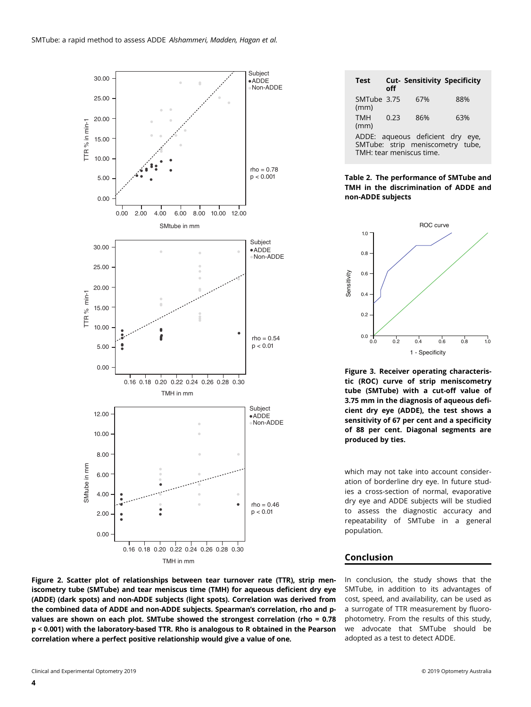

| <b>Test</b>                                                                                      | ∩ff  | <b>Cut- Sensitivity Specificity</b> |     |  |  |
|--------------------------------------------------------------------------------------------------|------|-------------------------------------|-----|--|--|
| SMTube 3.75<br>(mm)                                                                              |      | 67%                                 | 88% |  |  |
| <b>TMH</b><br>(mm)                                                                               | 0.23 | 86%                                 | 63% |  |  |
| ADDE: aqueous deficient dry eye,<br>SMTube: strip meniscometry tube,<br>TMH: tear meniscus time. |      |                                     |     |  |  |

#### Table 2. The performance of SMTube and TMH in the discrimination of ADDE and non-ADDE subjects



Figure 3. Receiver operating characteristic (ROC) curve of strip meniscometry tube (SMTube) with a cut-off value of 3.75 mm in the diagnosis of aqueous deficient dry eye (ADDE), the test shows a sensitivity of 67 per cent and a specificity of 88 per cent. Diagonal segments are produced by ties.

which may not take into account consideration of borderline dry eye. In future studies a cross-section of normal, evaporative dry eye and ADDE subjects will be studied to assess the diagnostic accuracy and repeatability of SMTube in a general population.

#### Conclusion

In conclusion, the study shows that the SMTube, in addition to its advantages of cost, speed, and availability, can be used as a surrogate of TTR measurement by fluorophotometry. From the results of this study, we advocate that SMTube should be adopted as a test to detect ADDE.

Figure 2. Scatter plot of relationships between tear turnover rate (TTR), strip meniscometry tube (SMTube) and tear meniscus time (TMH) for aqueous deficient dry eye (ADDE) (dark spots) and non-ADDE subjects (light spots). Correlation was derived from the combined data of ADDE and non-ADDE subjects. Spearman's correlation, rho and pvalues are shown on each plot. SMTube showed the strongest correlation (rho = 0.78 p < 0.001) with the laboratory-based TTR. Rho is analogous to R obtained in the Pearson correlation where a perfect positive relationship would give a value of one.